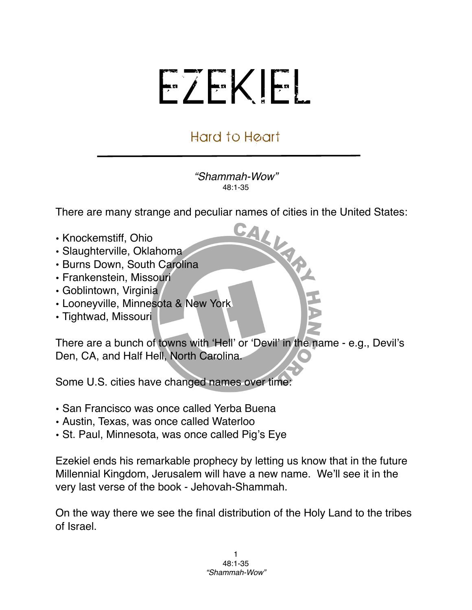## EZEKIEL

## Hard to Heart

*"Shammah-Wow"* 48:1-35

There are many strange and peculiar names of cities in the United States:<br>
"Cookemstiff, Ohio

- Knockemstiff, Ohio
- Slaughterville, Oklahoma
- Burns Down, South Carolina
- Frankenstein, Missouri
- Goblintown, Virginia
- Looneyville, Minnesota & New York
- Tightwad, Missouri

There are a bunch of towns with ʻHell' or ʻDevil' in the name - e.g., Devil's Den, CA, and Half Hell, North Carolina.

Some U.S. cities have changed names over time:

- San Francisco was once called Yerba Buena
- Austin, Texas, was once called Waterloo
- St. Paul, Minnesota, was once called Pig's Eye

Ezekiel ends his remarkable prophecy by letting us know that in the future Millennial Kingdom, Jerusalem will have a new name. We'll see it in the very last verse of the book - Jehovah-Shammah.

On the way there we see the final distribution of the Holy Land to the tribes of Israel.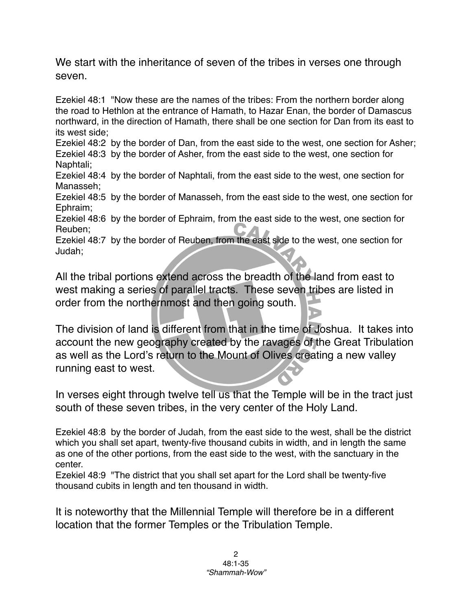We start with the inheritance of seven of the tribes in verses one through seven.

Ezekiel 48:1 "Now these are the names of the tribes: From the northern border along the road to Hethlon at the entrance of Hamath, to Hazar Enan, the border of Damascus northward, in the direction of Hamath, there shall be one section for Dan from its east to its west side;

Ezekiel 48:2 by the border of Dan, from the east side to the west, one section for Asher; Ezekiel 48:3 by the border of Asher, from the east side to the west, one section for Naphtali;

Ezekiel 48:4 by the border of Naphtali, from the east side to the west, one section for Manasseh;

Ezekiel 48:5 by the border of Manasseh, from the east side to the west, one section for Ephraim;

Ezekiel 48:6 by the border of Ephraim, from the east side to the west, one section for Reuben;

Ezekiel 48:7 by the border of Reuben, from the east side to the west, one section for Judah;

All the tribal portions extend across the breadth of the land from east to west making a series of parallel tracts. These seven tribes are listed in order from the northernmost and then going south.

The division of land is different from that in the time of Joshua. It takes into account the new geography created by the ravages of the Great Tribulation as well as the Lord's return to the Mount of Olives creating a new valley running east to west.

In verses eight through twelve tell us that the Temple will be in the tract just south of these seven tribes, in the very center of the Holy Land.

Ezekiel 48:8 by the border of Judah, from the east side to the west, shall be the district which you shall set apart, twenty-five thousand cubits in width, and in length the same as one of the other portions, from the east side to the west, with the sanctuary in the center.

Ezekiel 48:9 "The district that you shall set apart for the Lord shall be twenty-five thousand cubits in length and ten thousand in width.

It is noteworthy that the Millennial Temple will therefore be in a different location that the former Temples or the Tribulation Temple.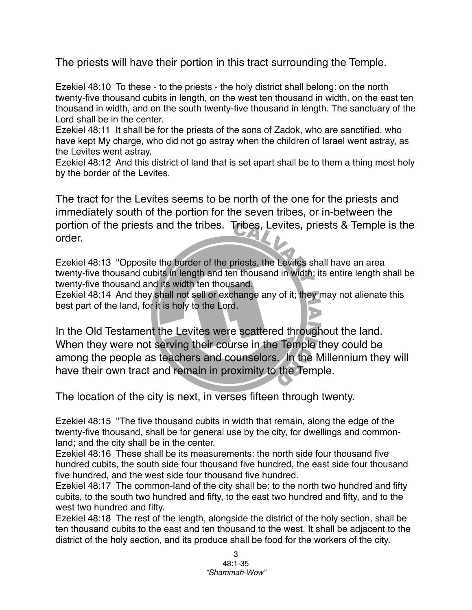The priests will have their portion in this tract surrounding the Temple.

Ezekiel 48:10 To these - to the priests - the holy district shall belong: on the north twenty-five thousand cubits in length, on the west ten thousand in width, on the east ten thousand in width, and on the south twenty-five thousand in length. The sanctuary of the Lord shall be in the center.

Ezekiel 48:11 It shall be for the priests of the sons of Zadok, who are sanctified, who have kept My charge, who did not go astray when the children of Israel went astray, as the Levites went astray.

Ezekiel 48:12 And this district of land that is set apart shall be to them a thing most holy by the border of the Levites.

The tract for the Levites seems to be north of the one for the priests and immediately south of the portion for the seven tribes, or in-between the portion of the priests and the tribes. Tribes, Levites, priests & Temple is the order.

Ezekiel 48:13 "Opposite the border of the priests, the Levites shall have an area twenty-five thousand cubits in length and ten thousand in width; its entire length shall be twenty-five thousand and its width ten thousand.

Ezekiel 48:14 And they shall not sell or exchange any of it; they may not alienate this best part of the land, for it is holy to the Lord.

In the Old Testament the Levites were scattered throughout the land. When they were not serving their course in the Temple they could be among the people as teachers and counselors. In the Millennium they will have their own tract and remain in proximity to the Temple.

The location of the city is next, in verses fifteen through twenty.

Ezekiel 48:15 "The five thousand cubits in width that remain, along the edge of the twenty-five thousand, shall be for general use by the city, for dwellings and commonland; and the city shall be in the center.

Ezekiel 48:16 These shall be its measurements: the north side four thousand five hundred cubits, the south side four thousand five hundred, the east side four thousand five hundred, and the west side four thousand five hundred.

Ezekiel 48:17 The common-land of the city shall be: to the north two hundred and fifty cubits, to the south two hundred and fifty, to the east two hundred and fifty, and to the west two hundred and fifty.

Ezekiel 48:18 The rest of the length, alongside the district of the holy section, shall be ten thousand cubits to the east and ten thousand to the west. It shall be adjacent to the district of the holy section, and its produce shall be food for the workers of the city.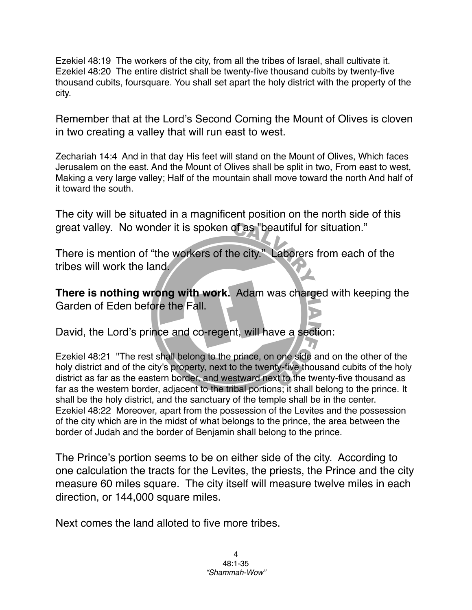Ezekiel 48:19 The workers of the city, from all the tribes of Israel, shall cultivate it. Ezekiel 48:20 The entire district shall be twenty-five thousand cubits by twenty-five thousand cubits, foursquare. You shall set apart the holy district with the property of the city.

Remember that at the Lord's Second Coming the Mount of Olives is cloven in two creating a valley that will run east to west.

Zechariah 14:4 And in that day His feet will stand on the Mount of Olives, Which faces Jerusalem on the east. And the Mount of Olives shall be split in two, From east to west, Making a very large valley; Half of the mountain shall move toward the north And half of it toward the south.

The city will be situated in a magnificent position on the north side of this great valley. No wonder it is spoken of as "beautiful for situation."

There is mention of "the workers of the city." Laborers from each of the tribes will work the land.

**There is nothing wrong with work.** Adam was charged with keeping the Garden of Eden before the Fall.

David, the Lord's prince and co-regent, will have a section:

Ezekiel 48:21 "The rest shall belong to the prince, on one side and on the other of the holy district and of the city's property, next to the twenty-five thousand cubits of the holy district as far as the eastern border, and westward next to the twenty-five thousand as far as the western border, adjacent to the tribal portions; it shall belong to the prince. It shall be the holy district, and the sanctuary of the temple shall be in the center. Ezekiel 48:22 Moreover, apart from the possession of the Levites and the possession of the city which are in the midst of what belongs to the prince, the area between the border of Judah and the border of Benjamin shall belong to the prince.

The Prince's portion seems to be on either side of the city. According to one calculation the tracts for the Levites, the priests, the Prince and the city measure 60 miles square. The city itself will measure twelve miles in each direction, or 144,000 square miles.

Next comes the land alloted to five more tribes.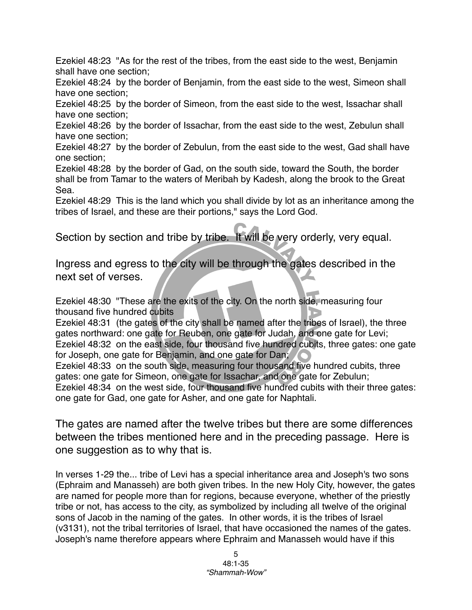Ezekiel 48:23 "As for the rest of the tribes, from the east side to the west, Benjamin shall have one section;

Ezekiel 48:24 by the border of Benjamin, from the east side to the west, Simeon shall have one section;

Ezekiel 48:25 by the border of Simeon, from the east side to the west, Issachar shall have one section;

Ezekiel 48:26 by the border of Issachar, from the east side to the west, Zebulun shall have one section;

Ezekiel 48:27 by the border of Zebulun, from the east side to the west, Gad shall have one section;

Ezekiel 48:28 by the border of Gad, on the south side, toward the South, the border shall be from Tamar to the waters of Meribah by Kadesh, along the brook to the Great Sea.

Ezekiel 48:29 This is the land which you shall divide by lot as an inheritance among the tribes of Israel, and these are their portions," says the Lord God.

Section by section and tribe by tribe. It will be very orderly, very equal.

Ingress and egress to the city will be through the gates described in the next set of verses.

Ezekiel 48:30 "These are the exits of the city. On the north side, measuring four thousand five hundred cubits

Ezekiel 48:31 (the gates of the city shall be named after the tribes of Israel), the three gates northward: one gate for Reuben, one gate for Judah, and one gate for Levi; Ezekiel 48:32 on the east side, four thousand five hundred cubits, three gates: one gate for Joseph, one gate for Benjamin, and one gate for Dan;

Ezekiel 48:33 on the south side, measuring four thousand five hundred cubits, three gates: one gate for Simeon, one gate for Issachar, and one gate for Zebulun;

Ezekiel 48:34 on the west side, four thousand five hundred cubits with their three gates: one gate for Gad, one gate for Asher, and one gate for Naphtali.

The gates are named after the twelve tribes but there are some differences between the tribes mentioned here and in the preceding passage. Here is one suggestion as to why that is.

In verses 1-29 the... tribe of Levi has a special inheritance area and Joseph's two sons (Ephraim and Manasseh) are both given tribes. In the new Holy City, however, the gates are named for people more than for regions, because everyone, whether of the priestly tribe or not, has access to the city, as symbolized by including all twelve of the original sons of Jacob in the naming of the gates. In other words, it is the tribes of Israel (v3131), not the tribal territories of Israel, that have occasioned the names of the gates. Joseph's name therefore appears where Ephraim and Manasseh would have if this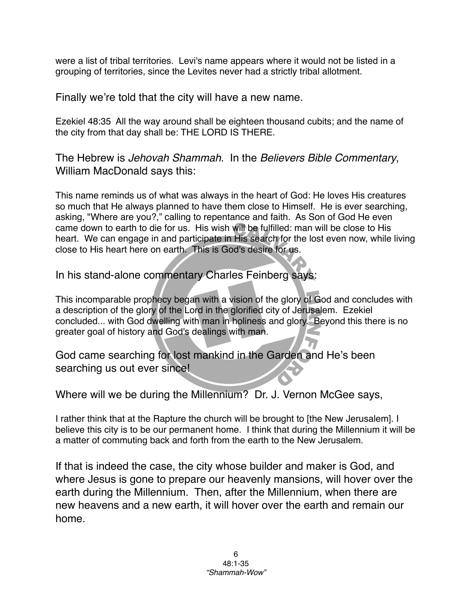were a list of tribal territories. Levi's name appears where it would not be listed in a grouping of territories, since the Levites never had a strictly tribal allotment.

Finally we're told that the city will have a new name.

Ezekiel 48:35 All the way around shall be eighteen thousand cubits; and the name of the city from that day shall be: THE LORD IS THERE.

The Hebrew is *Jehovah Shammah*. In the *Believers Bible Commentary*, William MacDonald says this:

This name reminds us of what was always in the heart of God: He loves His creatures so much that He always planned to have them close to Himself. He is ever searching, asking, "Where are you?," calling to repentance and faith. As Son of God He even came down to earth to die for us. His wish will be fulfilled: man will be close to His heart. We can engage in and participate in His search for the lost even now, while living close to His heart here on earth. This is God's desire for us.

In his stand-alone commentary Charles Feinberg says:

This incomparable prophecy began with a vision of the glory of God and concludes with a description of the glory of the Lord in the glorified city of Jerusalem. Ezekiel concluded... with God dwelling with man in holiness and glory. Beyond this there is no greater goal of history and God's dealings with man.

God came searching for lost mankind in the Garden and He's been searching us out ever since!

Where will we be during the Millennium? Dr. J. Vernon McGee says,

I rather think that at the Rapture the church will be brought to [the New Jerusalem]. I believe this city is to be our permanent home. I think that during the Millennium it will be a matter of commuting back and forth from the earth to the New Jerusalem.

If that is indeed the case, the city whose builder and maker is God, and where Jesus is gone to prepare our heavenly mansions, will hover over the earth during the Millennium. Then, after the Millennium, when there are new heavens and a new earth, it will hover over the earth and remain our home.